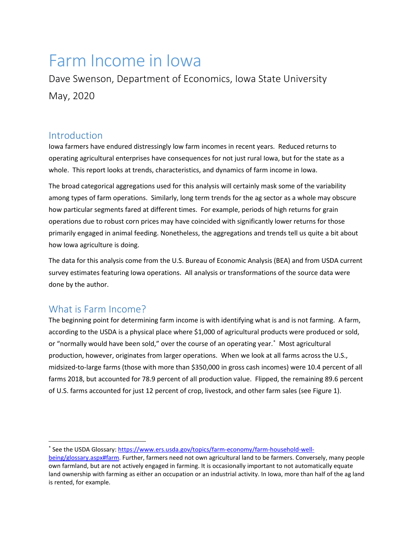# Farm Income in Iowa

Dave Swenson, Department of Economics, Iowa State University May, 2020

## Introduction

Iowa farmers have endured distressingly low farm incomes in recent years. Reduced returns to operating agricultural enterprises have consequences for not just rural Iowa, but for the state as a whole. This report looks at trends, characteristics, and dynamics of farm income in Iowa.

The broad categorical aggregations used for this analysis will certainly mask some of the variability among types of farm operations. Similarly, long term trends for the ag sector as a whole may obscure how particular segments fared at different times. For example, periods of high returns for grain operations due to robust corn prices may have coincided with significantly lower returns for those primarily engaged in animal feeding. Nonetheless, the aggregations and trends tell us quite a bit about how Iowa agriculture is doing.

The data for this analysis come from the U.S. Bureau of Economic Analysis (BEA) and from USDA current survey estimates featuring Iowa operations. All analysis or transformations of the source data were done by the author.

## What is Farm Income?

The beginning point for determining farm income is with identifying what is and is not farming. A farm, according to the USDA is a physical place where \$1,000 of agricultural products were produced or sold, or "normally would have been sold," over the course of an operating year. [\\*](#page-0-0) Most agricultural production, however, originates from larger operations. When we look at all farms across the U.S., midsized-to-large farms (those with more than \$350,000 in gross cash incomes) were 10.4 percent of all farms 2018, but accounted for 78.9 percent of all production value. Flipped, the remaining 89.6 percent of U.S. farms accounted for just 12 percent of crop, livestock, and other farm sales (see [Figure 1\)](#page-1-0).

<span id="page-0-0"></span> <sup>\*</sup> See the USDA Glossary: [https://www.ers.usda.gov/topics/farm-economy/farm-household-well-](https://www.ers.usda.gov/topics/farm-economy/farm-household-well-being/glossary.aspx#farm)

[being/glossary.aspx#farm.](https://www.ers.usda.gov/topics/farm-economy/farm-household-well-being/glossary.aspx#farm) Further, farmers need not own agricultural land to be farmers. Conversely, many people own farmland, but are not actively engaged in farming. It is occasionally important to not automatically equate land ownership with farming as either an occupation or an industrial activity. In Iowa, more than half of the ag land is rented, for example.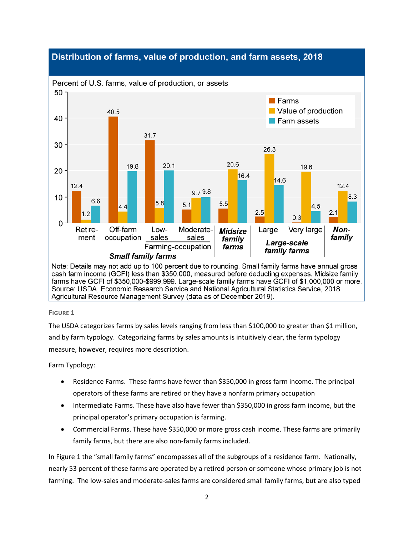## Distribution of farms, value of production, and farm assets, 2018



cash farm income (GCFI) less than \$350,000, measured before deducting expenses. Midsize family farms have GCFI of \$350,000-\$999,999. Large-scale family farms have GCFI of \$1,000,000 or more. Source: USDA, Economic Research Service and National Agricultural Statistics Service, 2018 Agricultural Resource Management Survey (data as of December 2019).

### <span id="page-1-0"></span>**FIGURE 1**

The USDA categorizes farms by sales levels ranging from less than \$100,000 to greater than \$1 million, and by farm typology. Categorizing farms by sales amounts is intuitively clear, the farm typology measure, however, requires more description.

Farm Typology:

- Residence Farms. These farms have fewer than \$350,000 in gross farm income. The principal operators of these farms are retired or they have a nonfarm primary occupation
- Intermediate Farms. These have also have fewer than \$350,000 in gross farm income, but the principal operator's primary occupation is farming.
- Commercial Farms. These have \$350,000 or more gross cash income. These farms are primarily family farms, but there are also non-family farms included.

In [Figure 1](#page-1-0) the "small family farms" encompasses all of the subgroups of a residence farm. Nationally, nearly 53 percent of these farms are operated by a retired person or someone whose primary job is not farming. The low-sales and moderate-sales farms are considered small family farms, but are also typed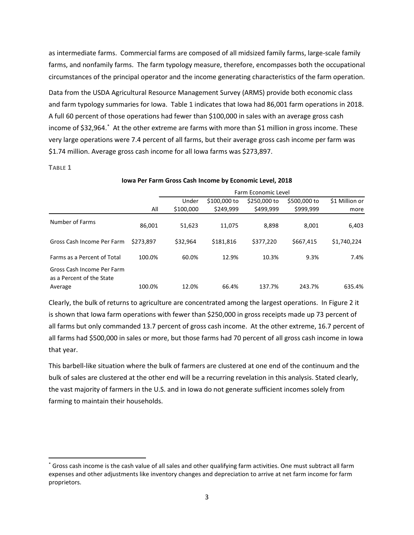as intermediate farms. Commercial farms are composed of all midsized family farms, large-scale family farms, and nonfamily farms. The farm typology measure, therefore, encompasses both the occupational circumstances of the principal operator and the income generating characteristics of the farm operation.

Data from the USDA Agricultural Resource Management Survey (ARMS) provide both economic class and farm typology summaries for Iowa. [Table 1](#page-2-0) indicates that Iowa had 86,001 farm operations in 2018. A full 60 percent of those operations had fewer than \$100,000 in sales with an average gross cash income of \$32,964.[\\*](#page-2-1) At the other extreme are farms with more than \$1 million in gross income. These very large operations were 7.4 percent of all farms, but their average gross cash income per farm was \$1.74 million. Average gross cash income for all Iowa farms was \$273,897.

<span id="page-2-0"></span>**TABLE 1**

|                                                         |           | Farm Economic Level |              |              |              |                |  |  |
|---------------------------------------------------------|-----------|---------------------|--------------|--------------|--------------|----------------|--|--|
|                                                         |           | Under               | \$100,000 to | \$250,000 to | \$500,000 to | \$1 Million or |  |  |
|                                                         | All       | \$100,000           | \$249,999    | \$499,999    | \$999,999    | more           |  |  |
| Number of Farms                                         | 86,001    | 51,623              | 11,075       | 8,898        | 8,001        | 6,403          |  |  |
| Gross Cash Income Per Farm                              | \$273.897 | \$32,964            | \$181,816    | \$377,220    | \$667,415    | \$1,740,224    |  |  |
| Farms as a Percent of Total                             | 100.0%    | 60.0%               | 12.9%        | 10.3%        | 9.3%         | 7.4%           |  |  |
| Gross Cash Income Per Farm<br>as a Percent of the State |           |                     |              |              |              |                |  |  |
| Average                                                 | 100.0%    | 12.0%               | 66.4%        | 137.7%       | 243.7%       | 635.4%         |  |  |

**Iowa Per Farm Gross Cash Income by Economic Level, 2018**

Clearly, the bulk of returns to agriculture are concentrated among the largest operations. In [Figure 2](#page-3-0) it is shown that Iowa farm operations with fewer than \$250,000 in gross receipts made up 73 percent of all farms but only commanded 13.7 percent of gross cash income. At the other extreme, 16.7 percent of all farms had \$500,000 in sales or more, but those farms had 70 percent of all gross cash income in Iowa that year.

This barbell-like situation where the bulk of farmers are clustered at one end of the continuum and the bulk of sales are clustered at the other end will be a recurring revelation in this analysis. Stated clearly, the vast majority of farmers in the U.S. and in Iowa do not generate sufficient incomes solely from farming to maintain their households.

<span id="page-2-1"></span> <sup>\*</sup> Gross cash income is the cash value of all sales and other qualifying farm activities. One must subtract all farm expenses and other adjustments like inventory changes and depreciation to arrive at net farm income for farm proprietors.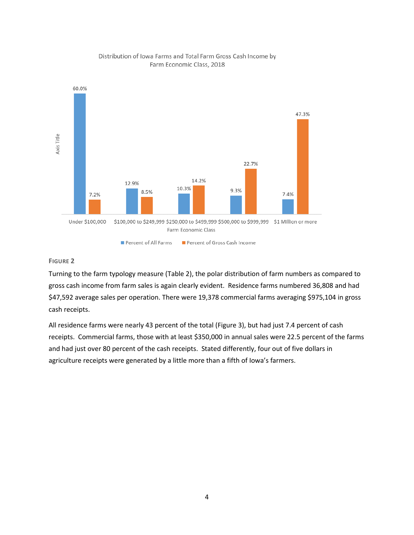

## Distribution of Iowa Farms and Total Farm Gross Cash Income by Farm Economic Class, 2018

#### <span id="page-3-0"></span>**FIGURE 2**

Turning to the farm typology measure [\(Table 2\)](#page-4-0), the polar distribution of farm numbers as compared to gross cash income from farm sales is again clearly evident. Residence farms numbered 36,808 and had \$47,592 average sales per operation. There were 19,378 commercial farms averaging \$975,104 in gross cash receipts.

All residence farms were nearly 43 percent of the total [\(Figure 3\)](#page-4-1), but had just 7.4 percent of cash receipts. Commercial farms, those with at least \$350,000 in annual sales were 22.5 percent of the farms and had just over 80 percent of the cash receipts. Stated differently, four out of five dollars in agriculture receipts were generated by a little more than a fifth of Iowa's farmers.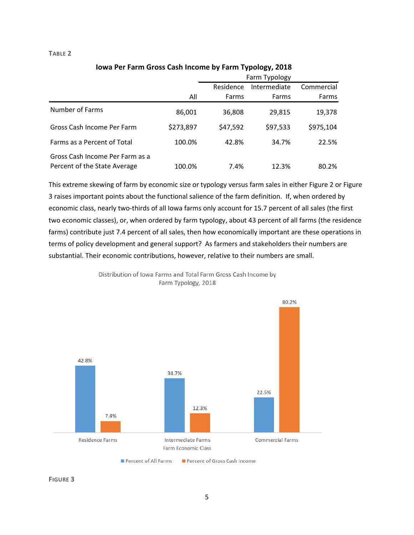#### <span id="page-4-0"></span>**TABLE 2**

|                                                                 |           | Farm Typology |              |            |  |
|-----------------------------------------------------------------|-----------|---------------|--------------|------------|--|
|                                                                 |           | Residence     | Intermediate | Commercial |  |
|                                                                 | All       | Farms         | Farms        | Farms      |  |
| Number of Farms                                                 | 86,001    | 36,808        | 29,815       | 19,378     |  |
| Gross Cash Income Per Farm                                      | \$273,897 | \$47,592      | \$97,533     | \$975,104  |  |
| Farms as a Percent of Total                                     | 100.0%    | 42.8%         | 34.7%        | 22.5%      |  |
| Gross Cash Income Per Farm as a<br>Percent of the State Average | 100.0%    | 7.4%          | 12.3%        | 80.2%      |  |

**Iowa Per Farm Gross Cash Income by Farm Typology, 2018**

This extreme skewing of farm by economic size or typology versus farm sales in either [Figure 2](#page-3-0) or [Figure](#page-4-1)  [3](#page-4-1) raises important points about the functional salience of the farm definition. If, when ordered by economic class, nearly two-thirds of all Iowa farms only account for 15.7 percent of all sales (the first two economic classes), or, when ordered by farm typology, about 43 percent of all farms (the residence farms) contribute just 7.4 percent of all sales, then how economically important are these operations in terms of policy development and general support? As farmers and stakeholders their numbers are substantial. Their economic contributions, however, relative to their numbers are small.

Distribution of Iowa Farms and Total Farm Gross Cash Income by Farm Typology, 2018



<span id="page-4-1"></span>**FIGURE 3**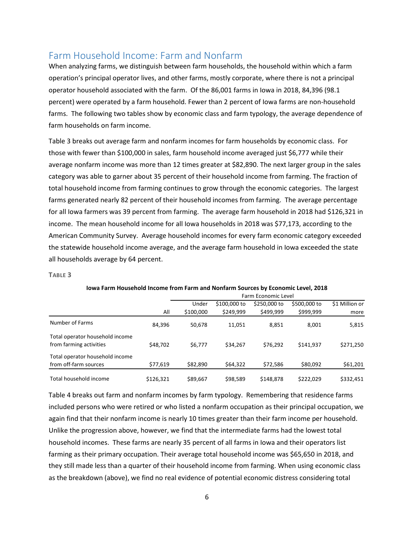# Farm Household Income: Farm and Nonfarm

When analyzing farms, we distinguish between farm households, the household within which a farm operation's principal operator lives, and other farms, mostly corporate, where there is not a principal operator household associated with the farm. Of the 86,001 farms in Iowa in 2018, 84,396 (98.1 percent) were operated by a farm household. Fewer than 2 percent of Iowa farms are non-household farms. The following two tables show by economic class and farm typology, the average dependence of farm households on farm income.

[Table 3](#page-5-0) breaks out average farm and nonfarm incomes for farm households by economic class. For those with fewer than \$100,000 in sales, farm household income averaged just \$6,777 while their average nonfarm income was more than 12 times greater at \$82,890. The next larger group in the sales category was able to garner about 35 percent of their household income from farming. The fraction of total household income from farming continues to grow through the economic categories. The largest farms generated nearly 82 percent of their household incomes from farming. The average percentage for all Iowa farmers was 39 percent from farming. The average farm household in 2018 had \$126,321 in income. The mean household income for all Iowa households in 2018 was \$77,173, according to the American Community Survey. Average household incomes for every farm economic category exceeded the statewide household income average, and the average farm household in Iowa exceeded the state all households average by 64 percent.

#### <span id="page-5-0"></span>**TABLE 3**

|                                 |           | Farm Economic Level |              |              |              |                |  |  |
|---------------------------------|-----------|---------------------|--------------|--------------|--------------|----------------|--|--|
|                                 |           | Under               | \$100,000 to | \$250,000 to | \$500,000 to | \$1 Million or |  |  |
|                                 | All       | \$100,000           | \$249.999    | \$499.999    | \$999,999    | more           |  |  |
| Number of Farms                 | 84,396    | 50,678              | 11,051       | 8,851        | 8.001        | 5,815          |  |  |
| Total operator household income |           |                     |              |              |              |                |  |  |
| from farming activities         | \$48,702  | \$6,777             | \$34,267     | \$76.292     | \$141.937    | \$271,250      |  |  |
| Total operator household income |           |                     |              |              |              |                |  |  |
| from off-farm sources           | \$77,619  | \$82,890            | \$64,322     | \$72,586     | \$80,092     | \$61,201       |  |  |
| Total household income          | \$126.321 | \$89,667            | \$98,589     | \$148.878    | \$222.029    | \$332,451      |  |  |

#### **Iowa Farm Household Income from Farm and Nonfarm Sources by Economic Level, 2018**

[Table 4](#page-6-0) breaks out farm and nonfarm incomes by farm typology. Remembering that residence farms included persons who were retired or who listed a nonfarm occupation as their principal occupation, we again find that their nonfarm income is nearly 10 times greater than their farm income per household. Unlike the progression above, however, we find that the intermediate farms had the lowest total household incomes. These farms are nearly 35 percent of all farms in Iowa and their operators list farming as their primary occupation. Their average total household income was \$65,650 in 2018, and they still made less than a quarter of their household income from farming. When using economic class as the breakdown (above), we find no real evidence of potential economic distress considering total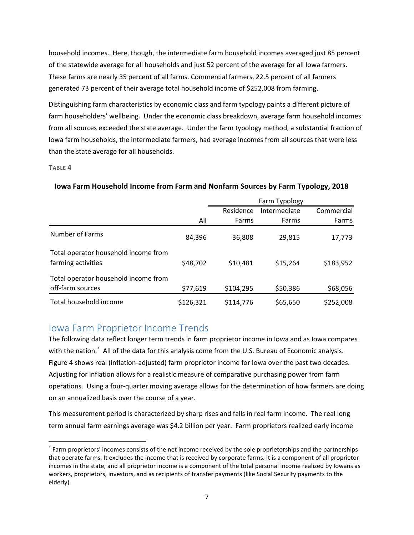household incomes. Here, though, the intermediate farm household incomes averaged just 85 percent of the statewide average for all households and just 52 percent of the average for all Iowa farmers. These farms are nearly 35 percent of all farms. Commercial farmers, 22.5 percent of all farmers generated 73 percent of their average total household income of \$252,008 from farming.

Distinguishing farm characteristics by economic class and farm typology paints a different picture of farm householders' wellbeing. Under the economic class breakdown, average farm household incomes from all sources exceeded the state average. Under the farm typology method, a substantial fraction of Iowa farm households, the intermediate farmers, had average incomes from all sources that were less than the state average for all households.

#### <span id="page-6-0"></span>**TABLE 4**

|                                                            |           | Farm Typology |              |            |  |
|------------------------------------------------------------|-----------|---------------|--------------|------------|--|
|                                                            |           | Residence     | Intermediate | Commercial |  |
|                                                            | All       | Farms         | Farms        | Farms      |  |
| Number of Farms                                            | 84,396    | 36,808        | 29,815       | 17,773     |  |
| Total operator household income from<br>farming activities | \$48,702  | \$10,481      | \$15,264     | \$183,952  |  |
| Total operator household income from<br>off-farm sources   | \$77,619  | \$104,295     | \$50,386     | \$68,056   |  |
| Total household income                                     | \$126,321 | \$114,776     | \$65,650     | \$252,008  |  |

## **Iowa Farm Household Income from Farm and Nonfarm Sources by Farm Typology, 2018**

# Iowa Farm Proprietor Income Trends

The following data reflect longer term trends in farm proprietor income in Iowa and as Iowa compares with the nation.[\\*](#page-6-1) All of the data for this analysis come from the U.S. Bureau of Economic analysis. [Figure 4](#page-7-0) shows real (inflation-adjusted) farm proprietor income for Iowa over the past two decades. Adjusting for inflation allows for a realistic measure of comparative purchasing power from farm operations. Using a four-quarter moving average allows for the determination of how farmers are doing on an annualized basis over the course of a year.

This measurement period is characterized by sharp rises and falls in real farm income. The real long term annual farm earnings average was \$4.2 billion per year. Farm proprietors realized early income

<span id="page-6-1"></span> <sup>\*</sup> Farm proprietors' incomes consists of the net income received by the sole proprietorships and the partnerships that operate farms. It excludes the income that is received by corporate farms. It is a component of all proprietor incomes in the state, and all proprietor income is a component of the total personal income realized by Iowans as workers, proprietors, investors, and as recipients of transfer payments (like Social Security payments to the elderly).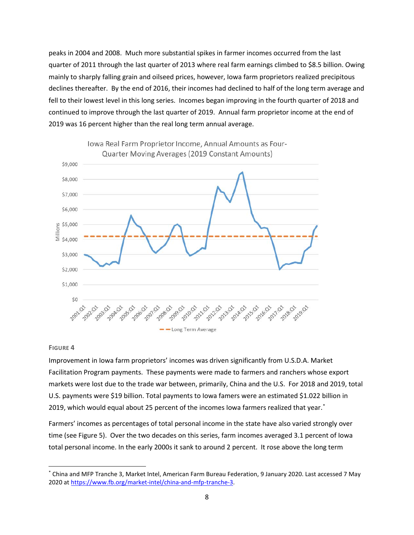peaks in 2004 and 2008. Much more substantial spikes in farmer incomes occurred from the last quarter of 2011 through the last quarter of 2013 where real farm earnings climbed to \$8.5 billion. Owing mainly to sharply falling grain and oilseed prices, however, Iowa farm proprietors realized precipitous declines thereafter. By the end of 2016, their incomes had declined to half of the long term average and fell to their lowest level in this long series. Incomes began improving in the fourth quarter of 2018 and continued to improve through the last quarter of 2019. Annual farm proprietor income at the end of 2019 was 16 percent higher than the real long term annual average.



#### <span id="page-7-0"></span>**FIGURE 4**

Improvement in Iowa farm proprietors' incomes was driven significantly from U.S.D.A. Market Facilitation Program payments. These payments were made to farmers and ranchers whose export markets were lost due to the trade war between, primarily, China and the U.S. For 2018 and 2019, total U.S. payments were \$19 billion. Total payments to Iowa famers were an estimated \$1.022 billion in 2019, which would equal about 25 percent of the incomes Iowa farmers realized that year.[\\*](#page-7-1)

Farmers' incomes as percentages of total personal income in the state have also varied strongly over time (see [Figure 5\)](#page-8-0). Over the two decades on this series, farm incomes averaged 3.1 percent of Iowa total personal income. In the early 2000s it sank to around 2 percent. It rose above the long term

<span id="page-7-1"></span> <sup>\*</sup> China and MFP Tranche 3, Market Intel, American Farm Bureau Federation, 9 January 2020. Last accessed 7 May 2020 at [https://www.fb.org/market-intel/china-and-mfp-tranche-3.](https://www.fb.org/market-intel/china-and-mfp-tranche-3)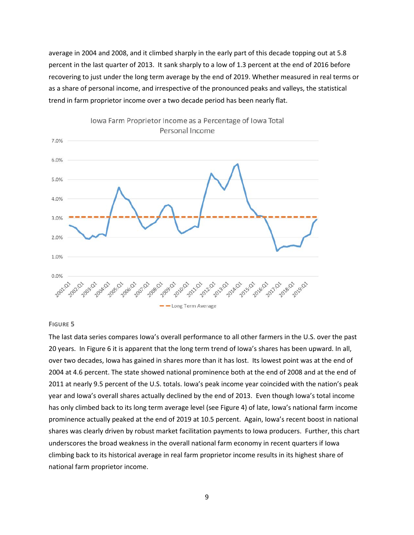average in 2004 and 2008, and it climbed sharply in the early part of this decade topping out at 5.8 percent in the last quarter of 2013. It sank sharply to a low of 1.3 percent at the end of 2016 before recovering to just under the long term average by the end of 2019. Whether measured in real terms or as a share of personal income, and irrespective of the pronounced peaks and valleys, the statistical trend in farm proprietor income over a two decade period has been nearly flat.



Iowa Farm Proprietor Income as a Percentage of Iowa Total

#### <span id="page-8-0"></span>**FIGURE 5**

The last data series compares Iowa's overall performance to all other farmers in the U.S. over the past 20 years. In [Figure 6](#page-9-0) it is apparent that the long term trend of Iowa's shares has been upward. In all, over two decades, Iowa has gained in shares more than it has lost. Its lowest point was at the end of 2004 at 4.6 percent. The state showed national prominence both at the end of 2008 and at the end of 2011 at nearly 9.5 percent of the U.S. totals. Iowa's peak income year coincided with the nation's peak year and Iowa's overall shares actually declined by the end of 2013. Even though Iowa's total income has only climbed back to its long term average level (see [Figure 4\)](#page-7-0) of late, Iowa's national farm income prominence actually peaked at the end of 2019 at 10.5 percent. Again, Iowa's recent boost in national shares was clearly driven by robust market facilitation payments to Iowa producers. Further, this chart underscores the broad weakness in the overall national farm economy in recent quarters if Iowa climbing back to its historical average in real farm proprietor income results in its highest share of national farm proprietor income.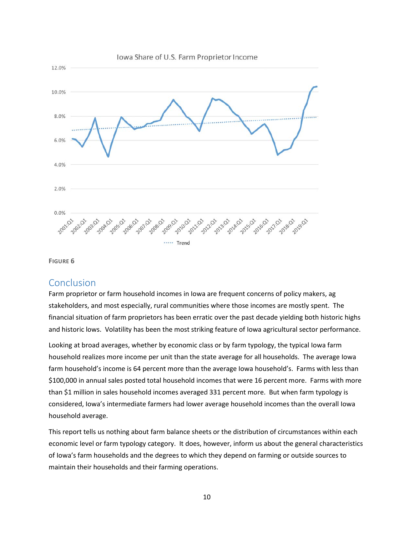

<span id="page-9-0"></span>**FIGURE 6**

## Conclusion

Farm proprietor or farm household incomes in Iowa are frequent concerns of policy makers, ag stakeholders, and most especially, rural communities where those incomes are mostly spent. The financial situation of farm proprietors has been erratic over the past decade yielding both historic highs and historic lows. Volatility has been the most striking feature of Iowa agricultural sector performance.

Looking at broad averages, whether by economic class or by farm typology, the typical Iowa farm household realizes more income per unit than the state average for all households. The average Iowa farm household's income is 64 percent more than the average Iowa household's. Farms with less than \$100,000 in annual sales posted total household incomes that were 16 percent more. Farms with more than \$1 million in sales household incomes averaged 331 percent more. But when farm typology is considered, Iowa's intermediate farmers had lower average household incomes than the overall Iowa household average.

This report tells us nothing about farm balance sheets or the distribution of circumstances within each economic level or farm typology category. It does, however, inform us about the general characteristics of Iowa's farm households and the degrees to which they depend on farming or outside sources to maintain their households and their farming operations.